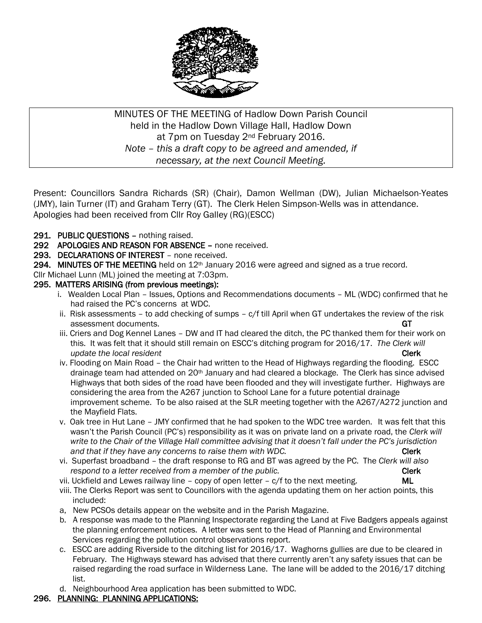

MINUTES OF THE MEETING of Hadlow Down Parish Council held in the Hadlow Down Village Hall, Hadlow Down at 7pm on Tuesday 2<sup>nd</sup> February 2016. *Note – this a draft copy to be agreed and amended, if necessary, at the next Council Meeting.*

Present: Councillors Sandra Richards (SR) (Chair), Damon Wellman (DW), Julian Michaelson-Yeates (JMY), Iain Turner (IT) and Graham Terry (GT). The Clerk Helen Simpson-Wells was in attendance. Apologies had been received from Cllr Roy Galley (RG)(ESCC)

- 291. PUBLIC QUESTIONS nothing raised.
- 292 APOLOGIES AND REASON FOR ABSENCE none received.
- 293. DECLARATIONS OF INTEREST none received.
- 294. MINUTES OF THE MEETING held on  $12<sup>th</sup>$  January 2016 were agreed and signed as a true record.
- Cllr Michael Lunn (ML) joined the meeting at 7:03pm.

#### 295. MATTERS ARISING (from previous meetings):

- i. Wealden Local Plan Issues, Options and Recommendations documents ML (WDC) confirmed that he had raised the PC's concerns at WDC.
- ii. Risk assessments to add checking of sumps c/f till April when GT undertakes the review of the risk assessment documents. GT  $\blacksquare$
- iii. Criers and Dog Kennel Lanes DW and IT had cleared the ditch, the PC thanked them for their work on this. It was felt that it should still remain on ESCC's ditching program for 2016/17. *The Clerk will update the local resident* Clerk **Clerk** Clerk **Clerk** Clerk **Clerk** Clerk **Clerk**
- iv. Flooding on Main Road the Chair had written to the Head of Highways regarding the flooding. ESCC drainage team had attended on 20<sup>th</sup> January and had cleared a blockage. The Clerk has since advised Highways that both sides of the road have been flooded and they will investigate further. Highways are considering the area from the A267 junction to School Lane for a future potential drainage improvement scheme. To be also raised at the SLR meeting together with the A267/A272 junction and the Mayfield Flats.
- v. Oak tree in Hut Lane JMY confirmed that he had spoken to the WDC tree warden. It was felt that this wasn't the Parish Council (PC's) responsibility as it was on private land on a private road, the *Clerk will write to the Chair of the Village Hall committee advising that it doesn't fall under the PC's jurisdiction* and that if they have any concerns to raise them with WDC. **Clerk Clerk**
- vi. Superfast broadband the draft response to RG and BT was agreed by the PC. The *Clerk will also* respond to a letter received from a member of the public. **EXACCLE 1999 CONVERTS CLER**
- vii. Uckfield and Lewes railway line  $-$  copy of open letter  $c/f$  to the next meeting.  $ML$
- viii. The Clerks Report was sent to Councillors with the agenda updating them on her action points, this included:
- a, New PCSOs details appear on the website and in the Parish Magazine.
- b. A response was made to the Planning Inspectorate regarding the Land at Five Badgers appeals against the planning enforcement notices. A letter was sent to the Head of Planning and Environmental Services regarding the pollution control observations report.
- c. ESCC are adding Riverside to the ditching list for 2016/17. Waghorns gullies are due to be cleared in February. The Highways steward has advised that there currently aren't any safety issues that can be raised regarding the road surface in Wilderness Lane. The lane will be added to the 2016/17 ditching list.
- d. Neighbourhood Area application has been submitted to WDC.

#### 296. PLANNING: PLANNING APPLICATIONS: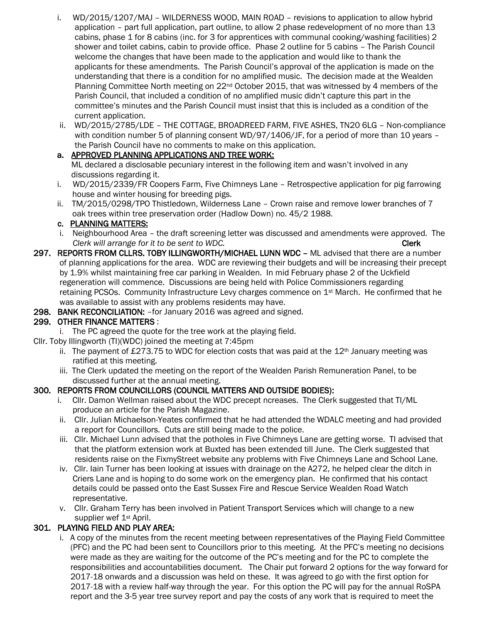- i. WD/2015/1207/MAJ WILDERNESS WOOD, MAIN ROAD revisions to application to allow hybrid application – part full application, part outline, to allow 2 phase redevelopment of no more than 13 cabins, phase 1 for 8 cabins (inc. for 3 for apprentices with communal cooking/washing facilities) 2 shower and toilet cabins, cabin to provide office. Phase 2 outline for 5 cabins – The Parish Council welcome the changes that have been made to the application and would like to thank the applicants for these amendments. The Parish Council's approval of the application is made on the understanding that there is a condition for no amplified music. The decision made at the Wealden Planning Committee North meeting on  $22^{nd}$  October 2015, that was witnessed by 4 members of the Parish Council, that included a condition of no amplified music didn't capture this part in the committee's minutes and the Parish Council must insist that this is included as a condition of the current application.
- ii. WD/2015/2785/LDE THE COTTAGE, BROADREED FARM, FIVE ASHES, TN20 6LG Non-compliance with condition number 5 of planning consent WD/97/1406/JF, for a period of more than 10 years the Parish Council have no comments to make on this application.

## a. APPROVED PLANNING APPLICATIONS AND TREE WORK:

ML declared a disclosable pecuniary interest in the following item and wasn't involved in any discussions regarding it.

- i. WD/2015/2339/FR Coopers Farm, Five Chimneys Lane Retrospective application for pig farrowing house and winter housing for breeding pigs.
- ii. TM/2015/0298/TPO Thistledown, Wilderness Lane Crown raise and remove lower branches of 7 oak trees within tree preservation order (Hadlow Down) no. 45/2 1988.

# c. PLANNING MATTERS:

- i. Neighbourhood Area the draft screening letter was discussed and amendments were approved. The *Clerk will arrange for it to be sent to WDC.* Clerk
- 297. REPORTS FROM CLLRS. TOBY ILLINGWORTH/MICHAEL LUNN WDC ML advised that there are a number of planning applications for the area. WDC are reviewing their budgets and will be increasing their precept by 1.9% whilst maintaining free car parking in Wealden. In mid February phase 2 of the Uckfield regeneration will commence. Discussions are being held with Police Commissioners regarding retaining PCSOs. Community Infrastructure Levy charges commence on 1st March. He confirmed that he was available to assist with any problems residents may have.
- 298. BANK RECONCILIATION: –for January 2016 was agreed and signed.

## 299. OTHER FINANCE MATTERS :

- i. The PC agreed the quote for the tree work at the playing field.
- Cllr. Toby Illingworth (TI)(WDC) joined the meeting at 7:45pm
	- ii. The payment of £273.75 to WDC for election costs that was paid at the  $12<sup>th</sup>$  January meeting was ratified at this meeting.
	- iii. The Clerk updated the meeting on the report of the Wealden Parish Remuneration Panel, to be discussed further at the annual meeting.

## 300. REPORTS FROM COUNCILLORS (COUNCIL MATTERS AND OUTSIDE BODIES):

- i. Cllr. Damon Wellman raised about the WDC precept ncreases. The Clerk suggested that TI/ML produce an article for the Parish Magazine.
- ii. Cllr. Julian Michaelson-Yeates confirmed that he had attended the WDALC meeting and had provided a report for Councillors. Cuts are still being made to the police.
- iii. Cllr. Michael Lunn advised that the potholes in Five Chimneys Lane are getting worse. TI advised that that the platform extension work at Buxted has been extended till June. The Clerk suggested that residents raise on the FixmyStreet website any problems with Five Chimneys Lane and School Lane.
- iv. Cllr. Iain Turner has been looking at issues with drainage on the A272, he helped clear the ditch in Criers Lane and is hoping to do some work on the emergency plan. He confirmed that his contact details could be passed onto the East Sussex Fire and Rescue Service Wealden Road Watch representative.
- v. Cllr. Graham Terry has been involved in Patient Transport Services which will change to a new supplier wef 1<sup>st</sup> April.

## 301. PLAYING FIELD AND PLAY AREA:

 i. A copy of the minutes from the recent meeting between representatives of the Playing Field Committee (PFC) and the PC had been sent to Councillors prior to this meeting. At the PFC's meeting no decisions were made as they are waiting for the outcome of the PC's meeting and for the PC to complete the responsibilities and accountabilities document. The Chair put forward 2 options for the way forward for 2017-18 onwards and a discussion was held on these. It was agreed to go with the first option for 2017-18 with a review half-way through the year. For this option the PC will pay for the annual RoSPA report and the 3-5 year tree survey report and pay the costs of any work that is required to meet the